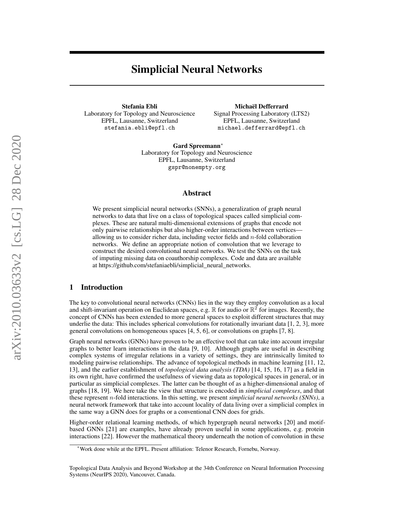# Simplicial Neural Networks

Stefania Ebli Laboratory for Topology and Neuroscience EPFL, Lausanne, Switzerland stefania.ebli@epfl.ch

Michaël Defferrard

Signal Processing Laboratory (LTS2) EPFL, Lausanne, Switzerland michael.defferrard@epfl.ch

Gard Spreemann<sup>∗</sup> Laboratory for Topology and Neuroscience EPFL, Lausanne, Switzerland gspr@nonempty.org

### Abstract

We present simplicial neural networks (SNNs), a generalization of graph neural networks to data that live on a class of topological spaces called simplicial complexes. These are natural multi-dimensional extensions of graphs that encode not only pairwise relationships but also higher-order interactions between vertices allowing us to consider richer data, including vector fields and  $n$ -fold collaboration networks. We define an appropriate notion of convolution that we leverage to construct the desired convolutional neural networks. We test the SNNs on the task of imputing missing data on coauthorship complexes. Code and data are available at [https://github.com/stefaniaebli/simplicial\\_neural\\_networks.](https://github.com/stefaniaebli/simplicial_neural_networks)

# 1 Introduction

The key to convolutional neural networks (CNNs) lies in the way they employ convolution as a local and shift-invariant operation on Euclidean spaces, e.g.  $\mathbb R$  for audio or  $\mathbb R^2$  for images. Recently, the concept of CNNs has been extended to more general spaces to exploit different structures that may underlie the data: This includes spherical convolutions for rotationally invariant data  $[1, 2, 3]$  $[1, 2, 3]$  $[1, 2, 3]$ , more general convolutions on homogeneous spaces [\[4,](#page-4-3) [5,](#page-4-4) [6\]](#page-4-5), or convolutions on graphs [\[7,](#page-4-6) [8\]](#page-4-7).

Graph neural networks (GNNs) have proven to be an effective tool that can take into account irregular graphs to better learn interactions in the data [\[9,](#page-4-8) [10\]](#page-4-9). Although graphs are useful in describing complex systems of irregular relations in a variety of settings, they are intrinsically limited to modeling pairwise relationships. The advance of topological methods in machine learning [\[11,](#page-4-10) [12,](#page-4-11) [13\]](#page-4-12), and the earlier establishment of *topological data analysis (TDA)* [\[14,](#page-4-13) [15,](#page-4-14) [16,](#page-4-15) [17\]](#page-4-16) as a field in its own right, have confirmed the usefulness of viewing data as topological spaces in general, or in particular as simplicial complexes. The latter can be thought of as a higher-dimensional analog of graphs [\[18,](#page-4-17) [19\]](#page-5-0). We here take the view that structure is encoded in *simplicial complexes*, and that these represent n-fold interactions. In this setting, we present *simplicial neural networks (SNNs)*, a neural network framework that take into account locality of data living over a simplicial complex in the same way a GNN does for graphs or a conventional CNN does for grids.

Higher-order relational learning methods, of which hypergraph neural networks [\[20\]](#page-5-1) and motifbased GNNs [\[21\]](#page-5-2) are examples, have already proven useful in some applications, e.g. protein interactions [\[22\]](#page-5-3). However the mathematical theory underneath the notion of convolution in these

<sup>∗</sup>Work done while at the EPFL. Present affiliation: Telenor Research, Fornebu, Norway.

Topological Data Analysis and Beyond Workshop at the 34th Conference on Neural Information Processing Systems (NeurIPS 2020), Vancouver, Canada.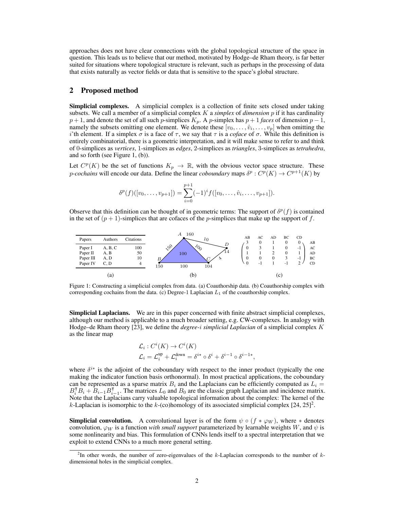approaches does not have clear connections with the global topological structure of the space in question. This leads us to believe that our method, motivated by Hodge–de Rham theory, is far better suited for situations where topological structure is relevant, such as perhaps in the processing of data that exists naturally as vector fields or data that is sensitive to the space's global structure.

#### 2 Proposed method

Simplicial complexes. A simplicial complex is a collection of finite sets closed under taking subsets. We call a member of a simplicial complex K a *simplex* of *dimension* p if it has cardinality  $p + 1$ , and denote the set of all such p-simplices  $K_p$ . A p-simplex has  $p + 1$  *faces* of dimension  $p - 1$ , namely the subsets omitting one element. We denote these  $[v_0, \ldots, \hat{v}_i, \ldots, v_p]$  when omitting the i'th element. If a simplex  $\sigma$  is a face of  $\tau$ , we say that  $\tau$  is a *coface* of  $\sigma$ . While this definition is entirely combinatorial, there is a geometric interpretation, and it will make sense to refer to and think of 0-simplices as *vertices*, 1-simplices as *edges*, 2-simplices as *triangles*, 3-simplices as *tetrahedra*, and so forth (see Figure [1,](#page-1-0) (b)).

Let  $C^p(K)$  be the set of functions  $K_p \to \mathbb{R}$ , with the obvious vector space structure. These *p*-cochains will encode our data. Define the linear *coboundary* maps  $\delta^p : C^p(K) \to C^{p+1}(K)$  by

$$
\delta^{p}(f)([v_0,\ldots,v_{p+1}])=\sum_{i=0}^{p+1}(-1)^{i}f([v_0,\ldots,\hat{v}_i,\ldots,v_{p+1}]).
$$

Observe that this definition can be thought of in geometric terms: The support of  $\delta^p(f)$  is contained in the set of  $(p + 1)$ -simplices that are cofaces of the *p*-simplices that make up the support of f.

<span id="page-1-0"></span>

Figure 1: Constructing a simplicial complex from data. (a) Coauthorship data. (b) Coauthorship complex with corresponding cochains from the data. (c) Degree-1 Laplacian  $L_1$  of the coauthorship complex.

Simplicial Laplacians. We are in this paper concerned with finite abstract simplicial complexes, although our method is applicable to a much broader setting, e.g. CW-complexes. In analogy with Hodge–de Rham theory [\[23\]](#page-5-4), we define the *degree-*i *simplicial Laplacian* of a simplicial complex K as the linear map

$$
\mathcal{L}_i: C^i(K) \to C^i(K)
$$
  

$$
\mathcal{L}_i = \mathcal{L}_i^{\text{up}} + \mathcal{L}_i^{\text{down}} = \delta^{i*} \circ \delta^i + \delta^{i-1} \circ \delta^{i-1*},
$$

where  $\delta^{i*}$  is the adjoint of the coboundary with respect to the inner product (typically the one making the indicator function basis orthonormal). In most practical applications, the coboundary can be represented as a sparse matrix  $B_i$  and the Laplacians can be efficiently computed as  $L_i =$  $B_i^{\mathsf{T}} B_i + B_{i-1} B_i^{\mathsf{T}}$  $_{i-1}^{\mathsf{T}}$ . The matrices  $L_0$  and  $B_0$  are the classic graph Laplacian and incidence matrix. Note that the Laplacians carry valuable topological information about the complex: The kernel of the k-Laplacian is isomorphic to the k-(co)homology of its associated simplicial complex  $[24, 25]^2$  $[24, 25]^2$  $[24, 25]^2$  $[24, 25]^2$ .

**Simplicial convolution.** A convolutional layer is of the form  $\psi \circ (f * \varphi_W)$ , where  $*$  denotes convolution,  $\varphi_W$  is a function *with small support* parameterized by learnable weights W, and  $\psi$  is some nonlinearity and bias. This formulation of CNNs lends itself to a spectral interpretation that we exploit to extend CNNs to a much more general setting.

<span id="page-1-1"></span><sup>&</sup>lt;sup>2</sup>In other words, the number of zero-eigenvalues of the k-Laplacian corresponds to the number of kdimensional holes in the simplicial complex.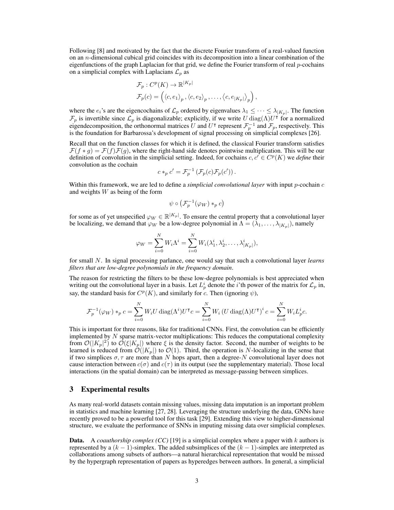Following [\[8\]](#page-4-7) and motivated by the fact that the discrete Fourier transform of a real-valued function on an n-dimensional cubical grid coincides with its decomposition into a linear combination of the eigenfunctions of the graph Laplacian for that grid, we define the Fourier transform of real p-cochains on a simplicial complex with Laplacians  $\mathcal{L}_p$  as

$$
\mathcal{F}_p: C^p(K) \to \mathbb{R}^{|K_p|} \n\mathcal{F}_p(c) = \left( \langle c, e_1 \rangle_p, \langle c, e_2 \rangle_p, \dots, \langle c, e_{|K_p|} \rangle_p \right),
$$

where the  $e_i$ 's are the eigencochains of  $\mathcal{L}_p$  ordered by eigenvalues  $\lambda_1 \leq \cdots \leq \lambda_{|K_p|}$ . The function  $\mathcal{F}_p$  is invertible since  $\mathcal{L}_p$  is diagonalizable; explicitly, if we write U diag( $\Lambda$ )U<sup>†</sup> for a normalized eigendecomposition, the orthonormal matrices U and U<sup> $\dagger$ </sup> represent  $\mathcal{F}_p^{-1}$  and  $\mathcal{F}_p$ , respectively. This is the foundation for Barbarossa's development of signal processing on simplicial complexes [\[26\]](#page-5-7).

Recall that on the function classes for which it is defined, the classical Fourier transform satisfies  $\mathcal{F}(f * g) = \mathcal{F}(f)\mathcal{F}(g)$ , where the right-hand side denotes pointwise multiplication. This will be our definition of convolution in the simplicial setting. Indeed, for cochains  $c, c \in C^p(K)$  we *define* their convolution as the cochain

$$
c *_p c' = \mathcal{F}_p^{-1} \left( \mathcal{F}_p(c) \mathcal{F}_p(c') \right).
$$

Within this framework, we are led to define a *simplicial convolutional layer* with input p-cochain c and weights W as being of the form

$$
\psi\circ\left(\mathcal{F}_p^{-1}(\varphi_W)\ast_pc\right)
$$

for some as of yet unspecified  $\varphi_W \in \mathbb{R}^{|K_p|}$ . To ensure the central property that a convolutional layer be localizing, we demand that  $\varphi_W$  be a low-degree polynomial in  $\Lambda = (\lambda_1, \ldots, \lambda_{|K_p|})$ , namely

$$
\varphi_W = \sum_{i=0}^N W_i \Lambda^i = \sum_{i=0}^N W_i(\lambda_1^i, \lambda_2^i, \dots, \lambda_{|K_p|}^i),
$$

for small N. In signal processing parlance, one would say that such a convolutional layer *learns filters that are low-degree polynomials in the frequency domain*.

The reason for restricting the filters to be these low-degree polynomials is best appreciated when writing out the convolutional layer in a basis. Let  $L_p^i$  denote the *i*'th power of the matrix for  $\mathcal{L}_p$  in, say, the standard basis for  $C^p(K)$ , and similarly for c. Then (ignoring  $\psi$ ),

$$
\mathcal{F}_p^{-1}(\varphi_W)*_pc = \sum_{i=0}^N W_iU\operatorname{diag}(\Lambda^i)U^\intercal c = \sum_{i=0}^N W_i\left(U\operatorname{diag}(\Lambda)U^\intercal\right)^ic = \sum_{i=0}^N W_iL_p^ic.
$$

This is important for three reasons, like for traditional CNNs. First, the convolution can be efficiently implemented by  $N$  sparse matrix-vector multiplications: This reduces the computational complexity from  $\mathcal{O}(|K_p|^2)$  to  $\mathcal{O}(\xi|K_p|)$  where  $\xi$  is the density factor. Second, the number of weights to be learned is reduced from  $\mathcal{O}(|K_p|)$  to  $\mathcal{O}(1)$ . Third, the operation is N-localizing in the sense that if two simplices  $\sigma, \tau$  are more than N hops apart, then a degree-N convolutional layer does not cause interaction between  $c(\sigma)$  and  $c(\tau)$  in its output (see the supplementary material). Those local interactions (in the spatial domain) can be interpreted as message-passing between simplices.

## 3 Experimental results

As many real-world datasets contain missing values, missing data imputation is an important problem in statistics and machine learning [\[27,](#page-5-8) [28\]](#page-5-9). Leveraging the structure underlying the data, GNNs have recently proved to be a powerful tool for this task [\[29\]](#page-5-10). Extending this view to higher-dimensional structure, we evaluate the performance of SNNs in imputing missing data over simplicial complexes.

**Data.** A *coauthorship complex (CC)* [\[19\]](#page-5-0) is a simplicial complex where a paper with k authors is represented by a  $(k - 1)$ -simplex. The added subsimplices of the  $(k - 1)$ -simplex are interpreted as collaborations among subsets of authors—a natural hierarchical representation that would be missed by the hypergraph representation of papers as hyperedges between authors. In general, a simplicial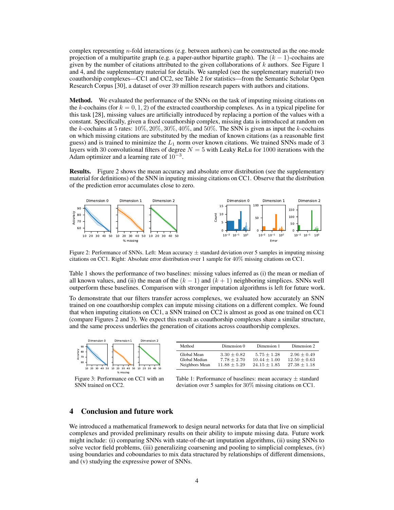complex representing n-fold interactions (e.g. between authors) can be constructed as the one-mode projection of a multipartite graph (e.g. a paper-author bipartite graph). The  $(k - 1)$ -cochains are given by the number of citations attributed to the given collaborations of  $k$  authors. See Figure [1](#page-1-0) and [4,](#page-6-0) and the supplementary material for details. We sampled (see the supplementary material) two coauthorship complexes—CC1 and CC2, see Table [2](#page-5-11) for statistics—from the Semantic Scholar Open Research Corpus [\[30\]](#page-5-12), a dataset of over 39 million research papers with authors and citations.

**Method.** We evaluated the performance of the SNNs on the task of imputing missing citations on the k-cochains (for  $k = 0, 1, 2$ ) of the extracted coauthorship complexes. As in a typical pipeline for this task [\[28\]](#page-5-9), missing values are artificially introduced by replacing a portion of the values with a constant. Specifically, given a fixed coauthorship complex, missing data is introduced at random on the k-cochains at 5 rates:  $10\%, 20\%, 30\%, 40\%,$  and  $50\%$ . The SNN is given as input the k-cochains on which missing citations are substituted by the median of known citations (as a reasonable first guess) and is trained to minimize the  $L_1$  norm over known citations. We trained SNNs made of 3 layers with 30 convolutional filters of degree  $N = 5$  with Leaky ReLu for 1000 iterations with the Adam optimizer and a learning rate of  $10^{-3}$ .

Results. Figure [2](#page-3-0) shows the mean accuracy and absolute error distribution (see the supplementary material for definitions) of the SNN in inputing missing citations on CC1. Observe that the distribution of the prediction error accumulates close to zero.

<span id="page-3-0"></span>

Figure 2: Performance of SNNs. Left: Mean accuracy  $\pm$  standard deviation over 5 samples in imputing missing citations on CC1. Right: Absolute error distribution over 1 sample for 40% missing citations on CC1.

Table [1](#page-3-1) shows the performance of two baselines: missing values inferred as (i) the mean or median of all known values, and (ii) the mean of the  $(k - 1)$  and  $(k + 1)$  neighboring simplices. SNNs well outperform these baselines. Comparison with stronger imputation algorithms is left for future work.

To demonstrate that our filters transfer across complexes, we evaluated how accurately an SNN trained on one coauthorship complex can impute missing citations on a different complex. We found that when imputing citations on CC1, a SNN trained on CC2 is almost as good as one trained on CC1 (compare Figures [2](#page-3-0) and [3\)](#page-3-1). We expect this result as coauthorship complexes share a similar structure, and the same process underlies the generation of citations across coauthorship complexes.

<span id="page-3-1"></span>

Figure 3: Performance on CC1 with an SNN trained on CC2.

| Method         | Dimension 0      | Dimension 1      | Dimension 2      |
|----------------|------------------|------------------|------------------|
| Global Mean    | $3.30 + 0.82$    | $5.75 + 1.28$    | $2.96 \pm 0.49$  |
| Global Median  | $7.78 + 2.70$    | $10.44 + 1.00$   | $12.50 \pm 0.63$ |
| Neighbors Mean | $11.88 \pm 5.29$ | $24.15 \pm 1.85$ | $27.38 \pm 1.18$ |

Table 1: Performance of baselines: mean accuracy  $\pm$  standard deviation over 5 samples for 30% missing citations on CC1.

## 4 Conclusion and future work

We introduced a mathematical framework to design neural networks for data that live on simplicial complexes and provided preliminary results on their ability to impute missing data. Future work might include: (i) comparing SNNs with state-of-the-art imputation algorithms, (ii) using SNNs to solve vector field problems, (iii) generalizing coarsening and pooling to simplicial complexes, (iv) using boundaries and coboundaries to mix data structured by relationships of different dimensions, and (v) studying the expressive power of SNNs.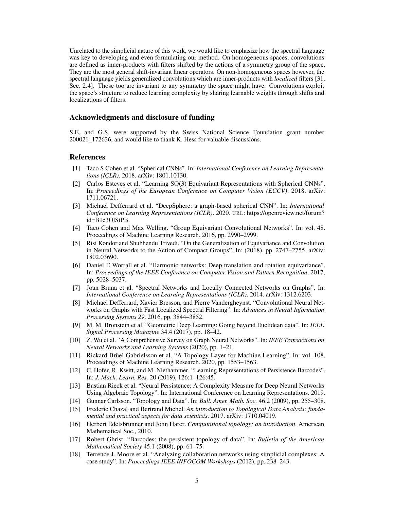Unrelated to the simplicial nature of this work, we would like to emphasize how the spectral language was key to developing and even formulating our method. On homogeneous spaces, convolutions are defined as inner-products with filters shifted by the actions of a symmetry group of the space. They are the most general shift-invariant linear operators. On non-homogeneous spaces however, the spectral language yields generalized convolutions which are inner-products with *localized* filters [\[31,](#page-5-13) Sec. 2.4]. Those too are invariant to any symmetry the space might have. Convolutions exploit the space's structure to reduce learning complexity by sharing learnable weights through shifts and localizations of filters.

#### Acknowledgments and disclosure of funding

S.E. and G.S. were supported by the Swiss National Science Foundation grant number 200021\_172636, and would like to thank K. Hess for valuable discussions.

# **References**

- <span id="page-4-0"></span>[1] Taco S Cohen et al. "Spherical CNNs". In: *International Conference on Learning Representations (ICLR)*. 2018. arXiv: [1801.10130.](https://arxiv.org/abs/1801.10130)
- <span id="page-4-1"></span>[2] Carlos Esteves et al. "Learning SO(3) Equivariant Representations with Spherical CNNs". In: *Proceedings of the European Conference on Computer Vision (ECCV)*. 2018. arXiv: [1711.06721.](https://arxiv.org/abs/1711.06721)
- <span id="page-4-2"></span>[3] Michaël Defferrard et al. "DeepSphere: a graph-based spherical CNN". In: *International Conference on Learning Representations (ICLR)*. 2020. URL: [https://openreview.net/forum?](https://openreview.net/forum?id=B1e3OlStPB) [id=B1e3OlStPB.](https://openreview.net/forum?id=B1e3OlStPB)
- <span id="page-4-3"></span>[4] Taco Cohen and Max Welling. "Group Equivariant Convolutional Networks". In: vol. 48. Proceedings of Machine Learning Research. 2016, pp. 2990–2999.
- <span id="page-4-4"></span>[5] Risi Kondor and Shubhendu Trivedi. "On the Generalization of Equivariance and Convolution in Neural Networks to the Action of Compact Groups". In: (2018), pp. 2747–2755. arXiv: [1802.03690.](https://arxiv.org/abs/1802.03690)
- <span id="page-4-5"></span>[6] Daniel E Worrall et al. "Harmonic networks: Deep translation and rotation equivariance". In: *Proceedings of the IEEE Conference on Computer Vision and Pattern Recognition*. 2017, pp. 5028–5037.
- <span id="page-4-6"></span>[7] Joan Bruna et al. "Spectral Networks and Locally Connected Networks on Graphs". In: *International Conference on Learning Representations (ICLR)*. 2014. arXiv: [1312.6203.](https://arxiv.org/abs/1312.6203)
- <span id="page-4-7"></span>[8] Michaël Defferrard, Xavier Bresson, and Pierre Vandergheynst. "Convolutional Neural Networks on Graphs with Fast Localized Spectral Filtering". In: *Advances in Neural Information Processing Systems 29*. 2016, pp. 3844–3852.
- <span id="page-4-8"></span>[9] M. M. Bronstein et al. "Geometric Deep Learning: Going beyond Euclidean data". In: *IEEE Signal Processing Magazine* 34.4 (2017), pp. 18–42.
- <span id="page-4-9"></span>[10] Z. Wu et al. "A Comprehensive Survey on Graph Neural Networks". In: *IEEE Transactions on Neural Networks and Learning Systems* (2020), pp. 1–21.
- <span id="page-4-10"></span>[11] Rickard Brüel Gabrielsson et al. "A Topology Layer for Machine Learning". In: vol. 108. Proceedings of Machine Learning Research. 2020, pp. 1553–1563.
- <span id="page-4-11"></span>[12] C. Hofer, R. Kwitt, and M. Niethammer. "Learning Representations of Persistence Barcodes". In: *J. Mach. Learn. Res.* 20 (2019), 126:1–126:45.
- <span id="page-4-12"></span>[13] Bastian Rieck et al. "Neural Persistence: A Complexity Measure for Deep Neural Networks Using Algebraic Topology". In: International Conference on Learning Representations. 2019.
- <span id="page-4-13"></span>[14] Gunnar Carlsson. "Topology and Data". In: *Bull. Amer. Math. Soc.* 46.2 (2009), pp. 255–308.
- <span id="page-4-14"></span>[15] Frederic Chazal and Bertrand Michel. *An introduction to Topological Data Analysis: fundamental and practical aspects for data scientists*. 2017. arXiv: [1710.04019.](https://arxiv.org/abs/1710.04019)
- <span id="page-4-15"></span>[16] Herbert Edelsbrunner and John Harer. *Computational topology: an introduction*. American Mathematical Soc., 2010.
- <span id="page-4-16"></span>[17] Robert Ghrist. "Barcodes: the persistent topology of data". In: *Bulletin of the American Mathematical Society* 45.1 (2008), pp. 61–75.
- <span id="page-4-17"></span>[18] Terrence J. Moore et al. "Analyzing collaboration networks using simplicial complexes: A case study". In: *Proceedings IEEE INFOCOM Workshops* (2012), pp. 238–243.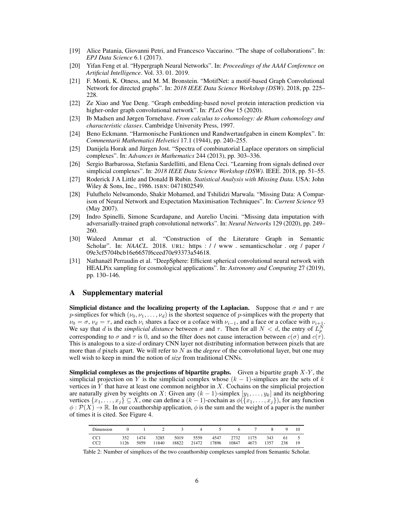- <span id="page-5-0"></span>[19] Alice Patania, Giovanni Petri, and Francesco Vaccarino. "The shape of collaborations". In: *EPJ Data Science* 6.1 (2017).
- <span id="page-5-1"></span>[20] Yifan Feng et al. "Hypergraph Neural Networks". In: *Proceedings of the AAAI Conference on Artificial Intelligence*. Vol. 33. 01. 2019.
- <span id="page-5-2"></span>[21] F. Monti, K. Otness, and M. M. Bronstein. "MotifNet: a motif-based Graph Convolutional Network for directed graphs". In: *2018 IEEE Data Science Workshop (DSW)*. 2018, pp. 225– 228.
- <span id="page-5-3"></span>[22] Ze Xiao and Yue Deng. "Graph embedding-based novel protein interaction prediction via higher-order graph convolutional network". In: *PLoS One* 15 (2020).
- <span id="page-5-4"></span>[23] Ib Madsen and Jørgen Tornehave. *From calculus to cohomology: de Rham cohomology and characteristic classes*. Cambridge University Press, 1997.
- <span id="page-5-5"></span>[24] Beno Eckmann. "Harmonische Funktionen und Randwertaufgaben in einem Komplex". In: *Commentarii Mathematici Helvetici* 17.1 (1944), pp. 240–255.
- <span id="page-5-6"></span>[25] Danijela Horak and Jürgen Jost. "Spectra of combinatorial Laplace operators on simplicial complexes". In: *Advances in Mathematics* 244 (2013), pp. 303–336.
- <span id="page-5-7"></span>[26] Sergio Barbarossa, Stefania Sardellitti, and Elena Ceci. "Learning from signals defined over simplicial complexes". In: *2018 IEEE Data Science Workshop (DSW)*. IEEE. 2018, pp. 51–55.
- <span id="page-5-8"></span>[27] Roderick J A Little and Donald B Rubin. *Statistical Analysis with Missing Data*. USA: John Wiley & Sons, Inc., 1986. ISBN: 0471802549.
- <span id="page-5-9"></span>[28] Fulufhelo Nelwamondo, Shakir Mohamed, and Tshilidzi Marwala. "Missing Data: A Comparison of Neural Network and Expectation Maximisation Techniques". In: *Current Science* 93 (May 2007).
- <span id="page-5-10"></span>[29] Indro Spinelli, Simone Scardapane, and Aurelio Uncini. "Missing data imputation with adversarially-trained graph convolutional networks". In: *Neural Networks* 129 (2020), pp. 249– 260.
- <span id="page-5-12"></span>[30] Waleed Ammar et al. "Construction of the Literature Graph in Semantic Scholar". In: *NAACL*. 2018. URL: https : / / www. semanticscholar . org / paper / [09e3cf5704bcb16e6657f6ceed70e93373a54618.](https://www.semanticscholar.org/paper/09e3cf5704bcb16e6657f6ceed70e93373a54618)
- <span id="page-5-13"></span>[31] Nathanaël Perraudin et al. "DeepSphere: Efficient spherical convolutional neural network with HEALPix sampling for cosmological applications". In: *Astronomy and Computing* 27 (2019), pp. 130–146.

#### A Supplementary material

Simplicial distance and the localizing property of the Laplacian. Suppose that  $\sigma$  and  $\tau$  are p-simplices for which  $(\nu_0, \nu_1, \dots, \nu_d)$  is the shortest sequence of p-simplices with the property that  $\nu_0 = \sigma$ ,  $\nu_d = \tau$ , and each  $\nu_i$  shares a face or a coface with  $\nu_{i-1}$ , and a face or a coface with  $\nu_{i+1}$ . We say that d is the *simplicial distance* between  $\sigma$  and  $\tau$ . Then for all  $N < d$ , the entry of  $L_p^N$ corresponding to  $\sigma$  and  $\tau$  is 0, and so the filter does not cause interaction between  $c(\sigma)$  and  $c(\tau)$ . This is analogous to a size-d ordinary CNN layer not distributing information between pixels that are more than d pixels apart. We will refer to N as the *degree* of the convolutional layer, but one may well wish to keep in mind the notion of *size* from traditional CNNs.

**Simplicial complexes as the projections of bipartite graphs.** Given a bipartite graph  $X-Y$ , the simplicial projection on Y is the simplicial complex whose  $(k - 1)$ -simplices are the sets of k vertices in  $Y$  that have at least one common neighbor in  $X$ . Cochains on the simplicial projection are naturally given by weights on X: Given any  $(k-1)$ -simplex  $[y_1, \ldots, y_k]$  and its neighboring vertices  $\{x_1, \ldots, x_j\} \subseteq X$ , one can define a  $(k-1)$ -cochain as  $\phi(\{x_1, \ldots, x_j\})$ , for any function  $\phi : \mathcal{P}(X) \to \mathbb{R}$ . In our coauthorship application,  $\phi$  is the sum and the weight of a paper is the number of times it is cited. See Figure [4.](#page-6-0)

<span id="page-5-11"></span>

| Dimension              |      |                  |       | 0 1 2 3 4 5 6 7 8 9 10                                      |            |      |     |  |
|------------------------|------|------------------|-------|-------------------------------------------------------------|------------|------|-----|--|
| CC <sub>1</sub><br>CC2 | 1126 | 352 1474<br>5059 | 11840 | 3285 5019 5559 4547 2732 1175 343 61 5<br>18822 21472 17896 | 10847 4673 | 1357 | 238 |  |

Table 2: Number of simplices of the two coauthorship complexes sampled from Semantic Scholar.